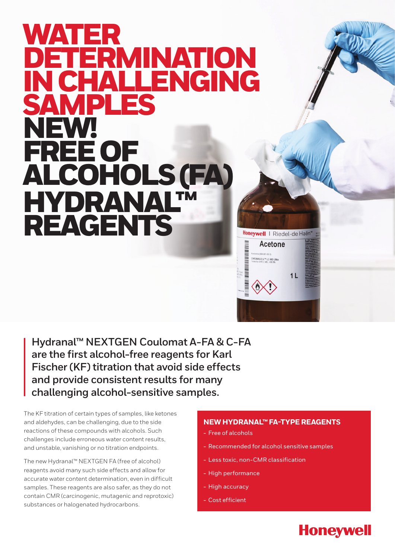## WATER<br>DETER ERMINATION<br>HAI I ENGING **I CHALLENGING<br>AMDI FS AMPLES**<br>EWI NEW! FREE OF ALCOHOLS (FA) HYDRANAL™ REAGENTS



**Hydranal™ NEXTGEN Coulomat A-FA & C-FA are the first alcohol-free reagents for Karl Fischer (KF) titration that avoid side effects and provide consistent results for many challenging alcohol-sensitive samples.**

The KF titration of certain types of samples, like ketones and aldehydes, can be challenging, due to the side reactions of these compounds with alcohols. Such challenges include erroneous water content results, and unstable, vanishing or no titration endpoints.

The new Hydranal™ NEXTGEN FA (free of alcohol) reagents avoid many such side effects and allow for accurate water content determination, even in difficult samples. These reagents are also safer, as they do not contain CMR (carcinogenic, mutagenic and reprotoxic) substances or halogenated hydrocarbons.

## **NEW HYDRANAL™ FA-TYPE REAGENTS**

- Free of alcohols
- Recommended for alcohol sensitive samples

**Honeywell** 

- Less toxic, non-CMR classification
- High performance
- High accuracy
- Cost efficient